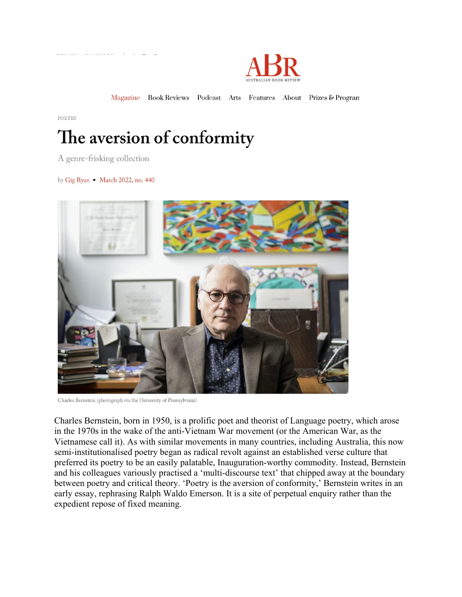

Magazine Book Reviews Podcast Arts Features About Prizes & Program

POETRY

## The aversion of conformity

A genre-frisking collection

by Gig Ryan . March 2022, no. 440



Charles Bernstein (photograph via the University of Pennsylvania)

Charles Bernstein, born in 1950, is a prolific poet and theorist of Language poetry, which arose in the 1970s in the wake of the anti-Vietnam War movement (or the American War, as the Vietnamese call it). As with similar movements in many countries, including Australia, this now semi-institutionalised poetry began as radical revolt against an established verse culture that preferred its poetry to be an easily palatable, Inauguration-worthy commodity. Instead, Bernstein and his colleagues variously practised a 'multi-discourse text' that chipped away at the boundary between poetry and critical theory. 'Poetry is the aversion of conformity,' Bernstein writes in an early essay, rephrasing Ralph Waldo Emerson. It is a site of perpetual enquiry rather than the expedient repose of fixed meaning.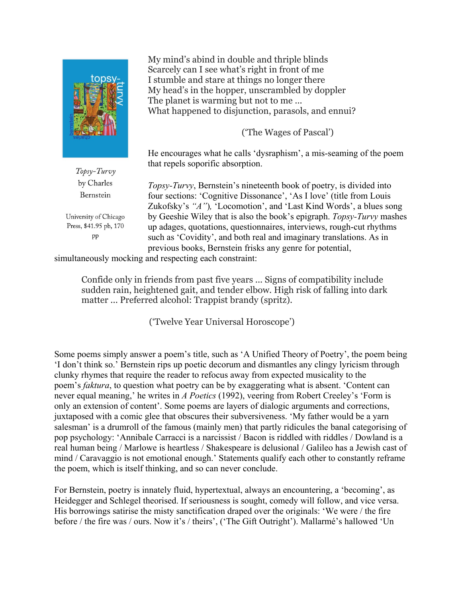

My mind's abind in double and thriple blinds Scarcely can I see what's right in front of me I stumble and stare at things no longer there My head's in the hopper, unscrambled by doppler The planet is warming but not to me... What happened to disjunction, parasols, and ennui?

('The Wages of Pascal')

He encourages what he calls 'dysraphism', a mis-seaming of the poem that repels soporific absorption.

*Topsy-Turvy*, Bernstein's nineteenth book of poetry, is divided into four sections: 'Cognitive Dissonance', 'As I love' (title from Louis Zukofsky's *"A"*)*,* 'Locomotion', and 'Last Kind Words', a blues song by Geeshie Wiley that is also the book's epigraph. *Topsy-Turvy* mashes up adages, quotations, questionnaires, interviews, rough-cut rhythms such as 'Covidity', and both real and imaginary translations. As in previous books, Bernstein frisks any genre for potential,

simultaneously mocking and respecting each constraint:

Confide only in friends from past five years ... Signs of compatibility include sudden rain, heightened gait, and tender elbow. High risk of falling into dark matter ... Preferred alcohol: Trappist brandy (spritz).

('Twelve Year Universal Horoscope')

Some poems simply answer a poem's title, such as 'A Unified Theory of Poetry', the poem being 'I don't think so.' Bernstein rips up poetic decorum and dismantles any clingy lyricism through clunky rhymes that require the reader to refocus away from expected musicality to the poem's *faktura*, to question what poetry can be by exaggerating what is absent. 'Content can never equal meaning,' he writes in *A Poetics* (1992), veering from Robert Creeley's 'Form is only an extension of content'. Some poems are layers of dialogic arguments and corrections, juxtaposed with a comic glee that obscures their subversiveness. 'My father would be a yarn salesman' is a drumroll of the famous (mainly men) that partly ridicules the banal categorising of pop psychology: 'Annibale Carracci is a narcissist / Bacon is riddled with riddles / Dowland is a real human being / Marlowe is heartless / Shakespeare is delusional / Galileo has a Jewish cast of mind / Caravaggio is not emotional enough.' Statements qualify each other to constantly reframe the poem, which is itself thinking, and so can never conclude.

For Bernstein, poetry is innately fluid, hypertextual, always an encountering, a 'becoming', as Heidegger and Schlegel theorised. If seriousness is sought, comedy will follow, and vice versa. His borrowings satirise the misty sanctification draped over the originals: 'We were / the fire before / the fire was / ours. Now it's / theirs', ('The Gift Outright'). Mallarmé's hallowed 'Un

Topsy-Turvy by Charles Bernstein

University of Chicago Press, \$41.95 pb, 170 pp